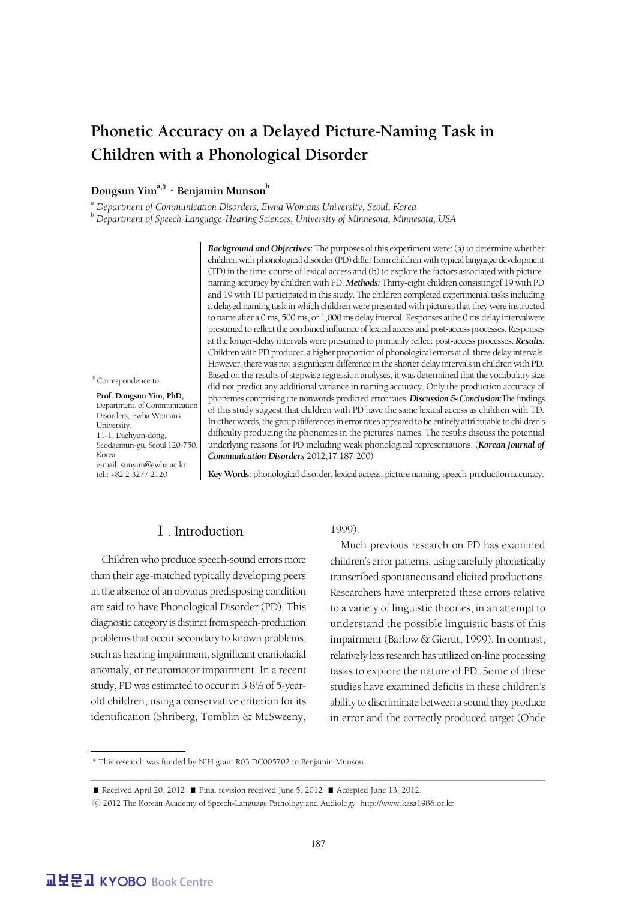## **Phonetic Accuracy on a Delayed Picture-Naming Task in Children with a Phonological Disorder**

### Dongsun Yim<sup>a,§</sup> · Benjamin Munson<sup>b</sup>

*<sup>a</sup> Department of Communication Disorders, Ewha Womans University, Seoul, Korea*

*<sup>b</sup> Department of Speech-Language-Hearing Sciences, University of Minnesota, Minnesota, USA*

*Background and Objectives:* The purposes of this experiment were: (a) to determine whether children with phonological disorder (PD) differ from children with typical language development (TD) in the time-course of lexical access and (b) to explore the factors associated with picturenaming accuracy by children with PD. *Methods:* Thirty-eight children consistingof 19 with PD and 19 with TD participated in this study. The children completed experimental tasks including a delayed naming task in which children were presented with pictures that they were instructed to name after a 0 ms, 500 ms, or 1,000 ms delay interval. Responses atthe 0 ms delay intervalwere presumed to reflect the combined influence of lexical access and post-access processes. Responses at the longer-delay intervals were presumed to primarily reflect post-access processes. *Results:* Children with PD produced a higher proportion of phonological errors at all three delay intervals. However, there was not a significant difference in the shorter delay intervals in children with PD. Based on the results of stepwise regression analyses, it was determined that the vocabulary size did not predict any additional variance in naming accuracy. Only the production accuracy of phonemes comprising the nonwords predicted error rates. *Discussion & Conclusion:*The findings of this study suggest that children with PD have the same lexical access as children with TD. In other words, the group differences in error rates appeared to be entirely attributable to children's difficulty producing the phonemes in the pictures' names. The results discuss the potential underlying reasons for PD including weak phonological representations. (*Korean Journal of Communication Disorders* 2012;17:187-200)

§ Correspondence to

 **Prof. Dongsun Yim, PhD,** Department. of Communication Disorders, Ewha Womans **University** 11-1, Daehyun-dong, Seodaemun-gu, Seoul 120-750, Korea e-mail: sunyim@ewha.ac.kr tel.: +82 2 3277 2120

**Key Words:** phonological disorder, lexical access, picture naming, speech-production accuracy.

## Ⅰ. Introduction

Children who produce speech-sound errors more than their age-matched typically developing peers in the absence of an obvious predisposing condition are said to have Phonological Disorder (PD). This diagnostic category is distinct from speech-production problems that occur secondary to known problems, such as hearing impairment, significant craniofacial anomaly, or neuromotor impairment. In a recent study, PD was estimated to occur in 3.8% of 5-yearold children, using a conservative criterion for its identification (Shriberg, Tomblin & McSweeny, 1999).

Much previous research on PD has examined children's error patterns, using carefully phonetically transcribed spontaneous and elicited productions. Researchers have interpreted these errors relative to a variety of linguistic theories, in an attempt to understand the possible linguistic basis of this impairment (Barlow & Gierut, 1999). In contrast, relatively less research has utilized on-line processing tasks to explore the nature of PD. Some of these studies have examined deficits in these children's ability to discriminate between a sound they produce in error and the correctly produced target (Ohde

<sup>\*</sup> This research was funded by NIH grant R03 DC005702 to Benjamin Munson.

<sup>■</sup> Received April 20, 2012 ■ Final revision received June 5, 2012 ■ Accepted June 13, 2012.

<sup>ⓒ</sup> 2012 The Korean Academy of Speech-Language Pathology and Audiology http://www.kasa1986.or.kr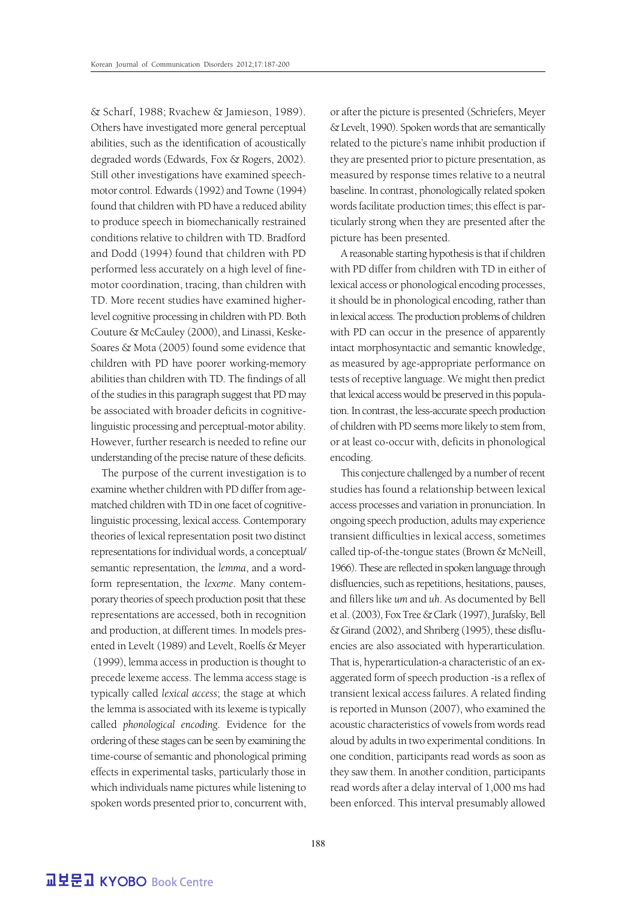& Scharf, 1988; Rvachew & Jamieson, 1989). Others have investigated more general perceptual abilities, such as the identification of acoustically degraded words (Edwards, Fox & Rogers, 2002). Still other investigations have examined speechmotor control. Edwards (1992) and Towne (1994) found that children with PD have a reduced ability to produce speech in biomechanically restrained conditions relative to children with TD. Bradford and Dodd (1994) found that children with PD performed less accurately on a high level of finemotor coordination, tracing, than children with TD. More recent studies have examined higherlevel cognitive processing in children with PD. Both Couture & McCauley (2000), and Linassi, Keske-Soares & Mota (2005) found some evidence that children with PD have poorer working-memory abilities than children with TD. The findings of all of the studies in this paragraph suggest that PD may be associated with broader deficits in cognitivelinguistic processing and perceptual-motor ability. However, further research is needed to refine our understanding of the precise nature of these deficits.

The purpose of the current investigation is to examine whether children with PD differ from agematched children with TD in one facet of cognitivelinguistic processing, lexical access. Contemporary theories of lexical representation posit two distinct representations for individual words, a conceptual/ semantic representation, the *lemma*, and a wordform representation, the *lexeme*. Many contemporary theories of speech production posit that these representations are accessed, both in recognition and production, at different times. In models presented in Levelt (1989) and Levelt, Roelfs & Meyer (1999), lemma access in production is thought to precede lexeme access. The lemma access stage is typically called *lexical access*; the stage at which the lemma is associated with its lexeme is typically called *phonological encoding*. Evidence for the ordering of these stages can be seen by examining the time-course of semantic and phonological priming effects in experimental tasks, particularly those in which individuals name pictures while listening to spoken words presented prior to, concurrent with,

or after the picture is presented (Schriefers, Meyer & Levelt, 1990). Spoken words that are semantically related to the picture's name inhibit production if they are presented prior to picture presentation, as measured by response times relative to a neutral baseline. In contrast, phonologically related spoken words facilitate production times; this effect is particularly strong when they are presented after the picture has been presented.

A reasonable starting hypothesis is that if children with PD differ from children with TD in either of lexical access or phonological encoding processes, it should be in phonological encoding, rather than in lexical access. The production problems of children with PD can occur in the presence of apparently intact morphosyntactic and semantic knowledge, as measured by age-appropriate performance on tests of receptive language. We might then predict that lexical access would be preserved in this population. In contrast, the less-accurate speech production of children with PD seems more likely to stem from, or at least co-occur with, deficits in phonological encoding.

This conjecture challenged by a number of recent studies has found a relationship between lexical access processes and variation in pronunciation. In ongoing speech production, adults may experience transient difficulties in lexical access, sometimes called tip-of-the-tongue states (Brown & McNeill, 1966). These are reflected in spoken language through disfluencies, such as repetitions, hesitations, pauses, and fillers like *um* and *uh*. As documented by Bell et al. (2003), Fox Tree & Clark (1997), Jurafsky, Bell & Girand (2002), and Shriberg (1995), these disfluencies are also associated with hyperarticulation. That is, hyperarticulation-a characteristic of an exaggerated form of speech production -is a reflex of transient lexical access failures. A related finding is reported in Munson (2007), who examined the acoustic characteristics of vowels from words read aloud by adults in two experimental conditions. In one condition, participants read words as soon as they saw them. In another condition, participants read words after a delay interval of 1,000 ms had been enforced. This interval presumably allowed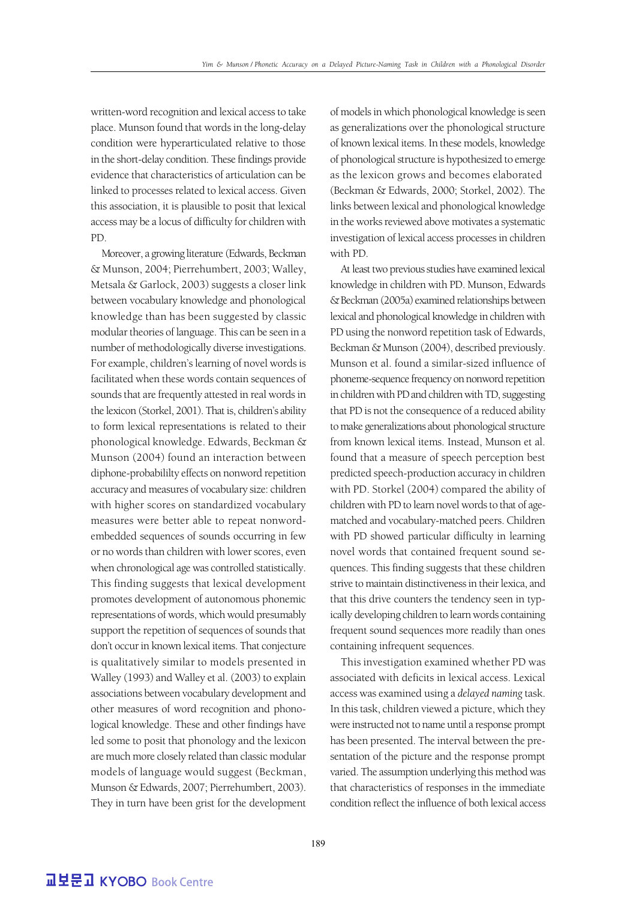written-word recognition and lexical access to take place. Munson found that words in the long-delay condition were hyperarticulated relative to those in the short-delay condition. These findings provide evidence that characteristics of articulation can be linked to processes related to lexical access. Given this association, it is plausible to posit that lexical access may be a locus of difficulty for children with PD.

Moreover, a growing literature (Edwards, Beckman & Munson, 2004; Pierrehumbert, 2003; Walley, Metsala & Garlock, 2003) suggests a closer link between vocabulary knowledge and phonological knowledge than has been suggested by classic modular theories of language. This can be seen in a number of methodologically diverse investigations. For example, children's learning of novel words is facilitated when these words contain sequences of sounds that are frequently attested in real words in the lexicon (Storkel, 2001). That is, children's ability to form lexical representations is related to their phonological knowledge. Edwards, Beckman & Munson (2004) found an interaction between diphone-probabililty effects on nonword repetition accuracy and measures of vocabulary size: children with higher scores on standardized vocabulary measures were better able to repeat nonwordembedded sequences of sounds occurring in few or no words than children with lower scores, even when chronological age was controlled statistically. This finding suggests that lexical development promotes development of autonomous phonemic representations of words, which would presumably support the repetition of sequences of sounds that don't occur in known lexical items. That conjecture is qualitatively similar to models presented in Walley (1993) and Walley et al. (2003) to explain associations between vocabulary development and other measures of word recognition and phonological knowledge. These and other findings have led some to posit that phonology and the lexicon are much more closely related than classic modular models of language would suggest (Beckman, Munson & Edwards, 2007; Pierrehumbert, 2003). They in turn have been grist for the development

of models in which phonological knowledge is seen as generalizations over the phonological structure of known lexical items. In these models, knowledge of phonological structure is hypothesized to emerge as the lexicon grows and becomes elaborated (Beckman & Edwards, 2000; Storkel, 2002). The links between lexical and phonological knowledge in the works reviewed above motivates a systematic investigation of lexical access processes in children with PD.

At least two previous studies have examined lexical knowledge in children with PD. Munson, Edwards & Beckman (2005a) examined relationships between lexical and phonological knowledge in children with PD using the nonword repetition task of Edwards, Beckman & Munson (2004), described previously. Munson et al. found a similar-sized influence of phoneme-sequence frequency on nonword repetition in children with PD and children with TD, suggesting that PD is not the consequence of a reduced ability to make generalizations about phonological structure from known lexical items. Instead, Munson et al. found that a measure of speech perception best predicted speech-production accuracy in children with PD. Storkel (2004) compared the ability of children with PD to learn novel words to that of agematched and vocabulary-matched peers. Children with PD showed particular difficulty in learning novel words that contained frequent sound sequences. This finding suggests that these children strive to maintain distinctiveness in their lexica, and that this drive counters the tendency seen in typically developing children to learn words containing frequent sound sequences more readily than ones containing infrequent sequences.

This investigation examined whether PD was associated with deficits in lexical access. Lexical access was examined using a *delayed naming* task. In this task, children viewed a picture, which they were instructed not to name until a response prompt has been presented. The interval between the presentation of the picture and the response prompt varied. The assumption underlying this method was that characteristics of responses in the immediate condition reflect the influence of both lexical access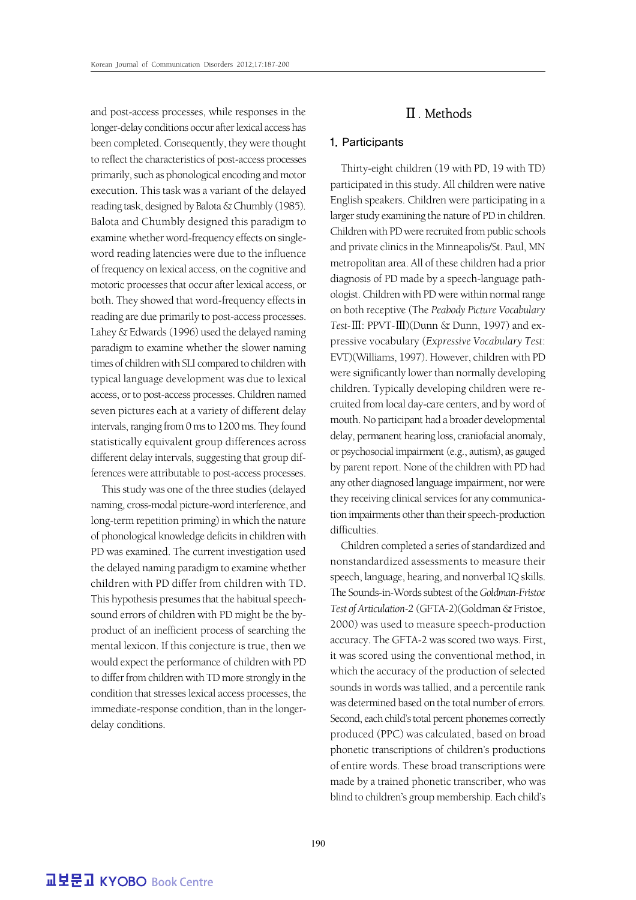and post-access processes, while responses in the longer-delay conditions occur after lexical access has been completed. Consequently, they were thought to reflect the characteristics of post-access processes primarily, such as phonological encoding and motor execution. This task was a variant of the delayed reading task, designed by Balota & Chumbly (1985). Balota and Chumbly designed this paradigm to examine whether word-frequency effects on singleword reading latencies were due to the influence of frequency on lexical access, on the cognitive and motoric processes that occur after lexical access, or both. They showed that word-frequency effects in reading are due primarily to post-access processes. Lahey & Edwards (1996) used the delayed naming paradigm to examine whether the slower naming times of children with SLI compared to children with typical language development was due to lexical access, or to post-access processes. Children named seven pictures each at a variety of different delay intervals, ranging from 0 ms to 1200 ms. They found statistically equivalent group differences across different delay intervals, suggesting that group differences were attributable to post-access processes.

This study was one of the three studies (delayed naming, cross-modal picture-word interference, and long-term repetition priming) in which the nature of phonological knowledge deficits in children with PD was examined. The current investigation used the delayed naming paradigm to examine whether children with PD differ from children with TD. This hypothesis presumes that the habitual speechsound errors of children with PD might be the byproduct of an inefficient process of searching the mental lexicon. If this conjecture is true, then we would expect the performance of children with PD to differ from children with TD more strongly in the condition that stresses lexical access processes, the immediate-response condition, than in the longerdelay conditions.

## Ⅱ. Methods

#### 1. Participants

Thirty-eight children (19 with PD, 19 with TD) participated in this study. All children were native English speakers. Children were participating in a larger study examining the nature of PD in children. Children with PD were recruited from public schools and private clinics in the Minneapolis/St. Paul, MN metropolitan area. All of these children had a prior diagnosis of PD made by a speech-language pathologist. Children with PD were within normal range on both receptive (The *Peabody Picture Vocabulary Test-*Ⅲ: PPVT-Ⅲ)(Dunn & Dunn, 1997) and expressive vocabulary (*Expressive Vocabulary Test*: EVT)(Williams, 1997). However, children with PD were significantly lower than normally developing children. Typically developing children were recruited from local day-care centers, and by word of mouth. No participant had a broader developmental delay, permanent hearing loss, craniofacial anomaly, or psychosocial impairment (e.g., autism), as gauged by parent report. None of the children with PD had any other diagnosed language impairment, nor were they receiving clinical services for any communication impairments other than their speech-production difficulties.

Children completed a series of standardized and nonstandardized assessments to measure their speech, language, hearing, and nonverbal IQ skills. The Sounds-in-Words subtest of the *Goldman-Fristoe Test of Articulation-2* (GFTA-2)(Goldman & Fristoe, 2000) was used to measure speech-production accuracy. The GFTA-2 was scored two ways. First, it was scored using the conventional method, in which the accuracy of the production of selected sounds in words was tallied, and a percentile rank was determined based on the total number of errors. Second, each child's total percent phonemes correctly produced (PPC) was calculated, based on broad phonetic transcriptions of children's productions of entire words. These broad transcriptions were made by a trained phonetic transcriber, who was blind to children's group membership. Each child's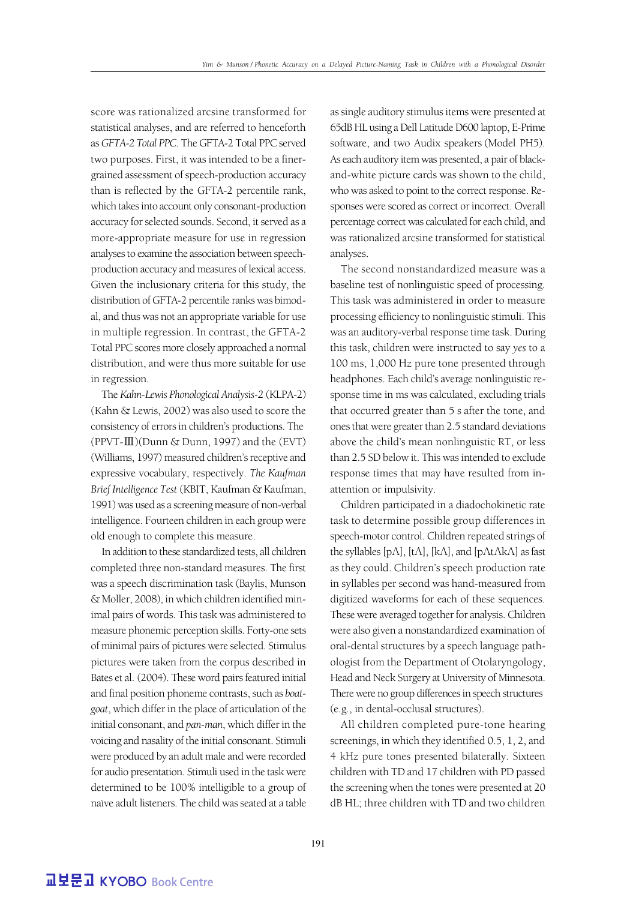score was rationalized arcsine transformed for statistical analyses, and are referred to henceforth as *GFTA-2 Total PPC*. The GFTA-2 Total PPC served two purposes. First, it was intended to be a finergrained assessment of speech-production accuracy than is reflected by the GFTA-2 percentile rank, which takes into account only consonant-production accuracy for selected sounds. Second, it served as a more-appropriate measure for use in regression analyses to examine the association between speechproduction accuracy and measures of lexical access. Given the inclusionary criteria for this study, the distribution of GFTA-2 percentile ranks was bimodal, and thus was not an appropriate variable for use in multiple regression. In contrast, the GFTA-2 Total PPC scores more closely approached a normal distribution, and were thus more suitable for use in regression.

The *Kahn-Lewis Phonological Analysis-2* (KLPA-2) (Kahn & Lewis, 2002) was also used to score the consistency of errors in children's productions. The (PPVT-Ⅲ)(Dunn & Dunn, 1997) and the (EVT) (Williams, 1997) measured children's receptive and expressive vocabulary, respectively. *The Kaufman Brief Intelligence Test* (KBIT, Kaufman & Kaufman, 1991) was used as a screening measure of non-verbal intelligence. Fourteen children in each group were old enough to complete this measure.

In addition to these standardized tests, all children completed three non-standard measures. The first was a speech discrimination task (Baylis, Munson & Moller, 2008), in which children identified minimal pairs of words. This task was administered to measure phonemic perception skills. Forty-one sets of minimal pairs of pictures were selected. Stimulus pictures were taken from the corpus described in Bates et al. (2004). These word pairs featured initial and final position phoneme contrasts, such as *boatgoat*, which differ in the place of articulation of the initial consonant, and *pan-man*, which differ in the voicing and nasality of the initial consonant. Stimuli were produced by an adult male and were recorded for audio presentation. Stimuli used in the task were determined to be 100% intelligible to a group of naïve adult listeners. The child was seated at a table

as single auditory stimulus items were presented at 65dB HL using a Dell Latitude D600 laptop, E-Prime software, and two Audix speakers (Model PH5). As each auditory item was presented, a pair of blackand-white picture cards was shown to the child, who was asked to point to the correct response. Responses were scored as correct or incorrect. Overall percentage correct was calculated for each child, and was rationalized arcsine transformed for statistical analyses.

The second nonstandardized measure was a baseline test of nonlinguistic speed of processing. This task was administered in order to measure processing efficiency to nonlinguistic stimuli. This was an auditory-verbal response time task. During this task, children were instructed to say *yes* to a 100 ms, 1,000 Hz pure tone presented through headphones. Each child's average nonlinguistic response time in ms was calculated, excluding trials that occurred greater than 5 s after the tone, and ones that were greater than 2.5 standard deviations above the child's mean nonlinguistic RT, or less than 2.5 SD below it. This was intended to exclude response times that may have resulted from inattention or impulsivity.

Children participated in a diadochokinetic rate task to determine possible group differences in speech-motor control. Children repeated strings of the syllables [pΛ], [tΛ], [kΛ], and [pΛtΛkΛ] as fast as they could. Children's speech production rate in syllables per second was hand-measured from digitized waveforms for each of these sequences. These were averaged together for analysis. Children were also given a nonstandardized examination of oral-dental structures by a speech language pathologist from the Department of Otolaryngology, Head and Neck Surgery at University of Minnesota. There were no group differences in speech structures (e.g., in dental-occlusal structures).

All children completed pure-tone hearing screenings, in which they identified 0.5, 1, 2, and 4 kHz pure tones presented bilaterally. Sixteen children with TD and 17 children with PD passed the screening when the tones were presented at 20 dB HL; three children with TD and two children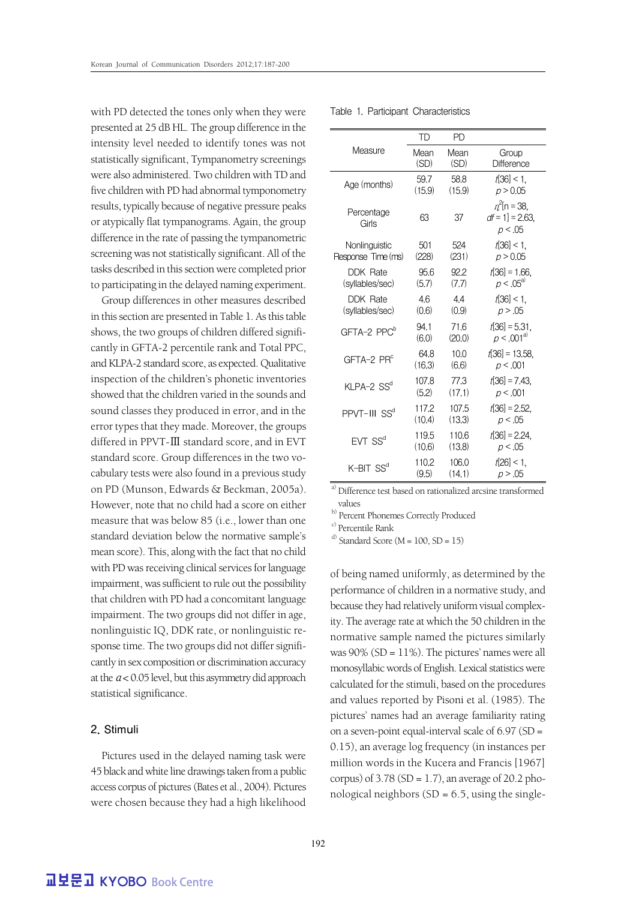with PD detected the tones only when they were Table 1. Participant Characteristics presented at 25 dB HL. The group difference in the intensity level needed to identify tones was not statistically significant, Tympanometry screenings were also administered. Two children with TD and five children with PD had abnormal tymponometry results, typically because of negative pressure peaks or atypically flat tympanograms. Again, the group difference in the rate of passing the tympanometric screening was not statistically significant. All of the tasks described in this section were completed prior to participating in the delayed naming experiment.

Group differences in other measures described in this section are presented in Table 1. As this table shows, the two groups of children differed significantly in GFTA-2 percentile rank and Total PPC, and KLPA-2 standard score, as expected. Qualitative inspection of the children's phonetic inventories showed that the children varied in the sounds and sound classes they produced in error, and in the error types that they made. Moreover, the groups differed in PPVT-Ⅲ standard score, and in EVT standard score. Group differences in the two vocabulary tests were also found in a previous study on PD (Munson, Edwards & Beckman, 2005a). However, note that no child had a score on either measure that was below 85 (i.e., lower than one standard deviation below the normative sample's mean score). This, along with the fact that no child with PD was receiving clinical services for language impairment, was sufficient to rule out the possibility that children with PD had a concomitant language impairment. The two groups did not differ in age, nonlinguistic IQ, DDK rate, or nonlinguistic response time. The two groups did not differ significantly in sex composition or discrimination accuracy at the  $a < 0.05$  level, but this asymmetry did approach statistical significance.

#### 2. Stimuli

Pictures used in the delayed naming task were 45 black and white line drawings taken from a public access corpus of pictures (Bates et al., 2004). Pictures were chosen because they had a high likelihood

|                          | TD     | PD     |                                                  |
|--------------------------|--------|--------|--------------------------------------------------|
| Measure                  | Mean   | Mean   | Group                                            |
|                          | (SD)   | (SD)   | Difference                                       |
| Age (months)             | 59.7   | 58.8   | $t[36] < 1$ ,                                    |
|                          | (15.9) | (15.9) | p > 0.05                                         |
| Percentage<br>Girls      | 63     | 37     | $n^2$ [n = 38,<br>$df = 1$ ] = 2.63,<br>p < 0.05 |
| Nonlinguistic            | 501    | 524    | t[36] < 1                                        |
| Response Time (ms)       | (228)  | (231)  | p > 0.05                                         |
| DDK Rate                 | 95.6   | 92.2   | $t[36] = 1.66$                                   |
| (syllables/sec)          | (5.7)  | (7.7)  | $p < .05^{a}$                                    |
| <b>DDK Rate</b>          | 4.6    | 4.4    | $t[36] < 1$ ,                                    |
| (syllables/sec)          | (0.6)  | (0.9)  | p > .05                                          |
| GFTA-2 PPC <sup>b</sup>  | 94.1   | 71.6   | $t[36] = 5.31,$                                  |
|                          | (6.0)  | (20.0) | $p < .001^{a}$                                   |
| $GFTA-2$ PR $^c$         | 64.8   | 10.0   | $t[36] = 13.58$                                  |
|                          | (16.3) | (6.6)  | p < .001                                         |
| KLPA-2 SS <sup>d</sup>   | 107.8  | 77.3   | $t[36] = 7.43$                                   |
|                          | (5.2)  | (17.1) | p < .001                                         |
| PPVT-III SS <sup>d</sup> | 117.2  | 107.5  | $t[36] = 2.52$                                   |
|                          | (10.4) | (13.3) | p < .05                                          |
| $FVT$ SS <sup>d</sup>    | 119.5  | 110.6  | $t[36] = 2.24$                                   |
|                          | (10.6) | (13.8) | p < .05                                          |
| $K$ -BIT $SS^d$          | 1102   | 106.0  | $t[26] < 1$ ,                                    |
|                          | (9.5)  | (14.1) | p > .05                                          |

<sup>a)</sup> Difference test based on rationalized arcsine transformed values

b) Percent Phonemes Correctly Produced

c) Percentile Rank

<sup>d)</sup> Standard Score ( $M = 100$ , SD = 15)

of being named uniformly, as determined by the performance of children in a normative study, and because they had relatively uniform visual complexity. The average rate at which the 50 children in the normative sample named the pictures similarly was  $90\%$  (SD =  $11\%$ ). The pictures' names were all monosyllabic words of English. Lexical statistics were calculated for the stimuli, based on the procedures and values reported by Pisoni et al. (1985). The pictures' names had an average familiarity rating on a seven-point equal-interval scale of  $6.97$  (SD = 0.15), an average log frequency (in instances per million words in the Kucera and Francis [1967] corpus) of  $3.78$  (SD = 1.7), an average of 20.2 phonological neighbors  $(SD = 6.5$ , using the single-

**교보문고 KYOBO Book Centre**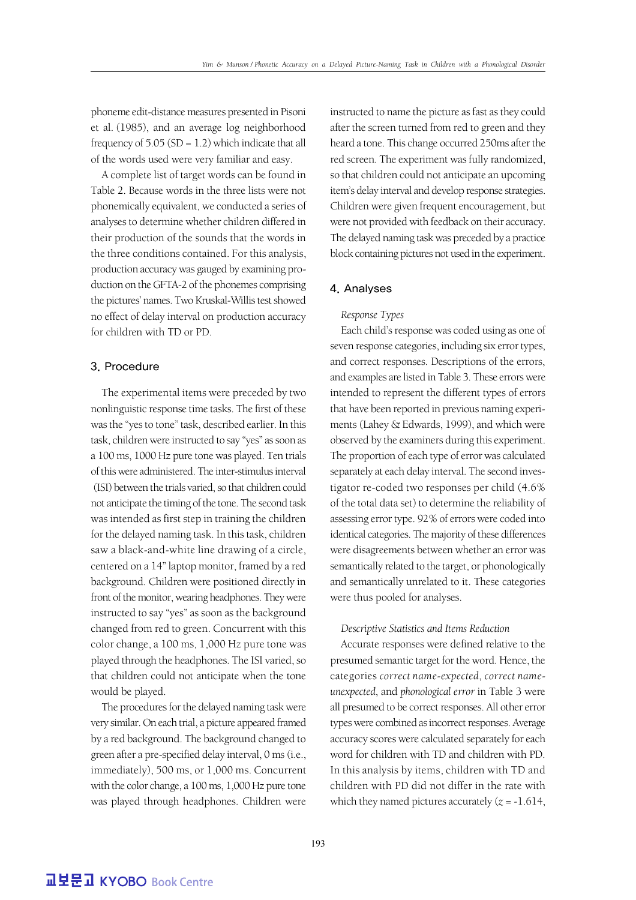phoneme edit-distance measures presented in Pisoni et al. (1985), and an average log neighborhood frequency of  $5.05$  (SD = 1.2) which indicate that all of the words used were very familiar and easy.

A complete list of target words can be found in Table 2. Because words in the three lists were not phonemically equivalent, we conducted a series of analyses to determine whether children differed in their production of the sounds that the words in the three conditions contained. For this analysis, production accuracy was gauged by examining production on the GFTA-2 of the phonemes comprising the pictures' names. Two Kruskal-Willis test showed no effect of delay interval on production accuracy for children with TD or PD.

#### 3. Procedure

The experimental items were preceded by two nonlinguistic response time tasks. The first of these was the "yes to tone" task, described earlier. In this task, children were instructed to say "yes" as soon as a 100 ms, 1000 Hz pure tone was played. Ten trials of this were administered. The inter-stimulus interval (ISI) between the trials varied, so that children could not anticipate the timing of the tone. The second task was intended as first step in training the children for the delayed naming task. In this task, children saw a black-and-white line drawing of a circle, centered on a 14" laptop monitor, framed by a red background. Children were positioned directly in front of the monitor, wearing headphones. They were instructed to say "yes" as soon as the background changed from red to green. Concurrent with this color change, a 100 ms, 1,000 Hz pure tone was played through the headphones. The ISI varied, so that children could not anticipate when the tone would be played.

The procedures for the delayed naming task were very similar. On each trial, a picture appeared framed by a red background. The background changed to green after a pre-specified delay interval, 0 ms (i.e., immediately), 500 ms, or 1,000 ms. Concurrent with the color change, a 100 ms, 1,000 Hz pure tone was played through headphones. Children were

instructed to name the picture as fast as they could after the screen turned from red to green and they heard a tone. This change occurred 250ms after the red screen. The experiment was fully randomized, so that children could not anticipate an upcoming item's delay interval and develop response strategies. Children were given frequent encouragement, but were not provided with feedback on their accuracy. The delayed naming task was preceded by a practice block containing pictures not used in the experiment.

#### 4. Analyses

#### *Response Types*

Each child's response was coded using as one of seven response categories, including six error types, and correct responses. Descriptions of the errors, and examples are listed in Table 3. These errors were intended to represent the different types of errors that have been reported in previous naming experiments (Lahey & Edwards, 1999), and which were observed by the examiners during this experiment. The proportion of each type of error was calculated separately at each delay interval. The second investigator re-coded two responses per child (4.6% of the total data set) to determine the reliability of assessing error type. 92% of errors were coded into identical categories. The majority of these differences were disagreements between whether an error was semantically related to the target, or phonologically and semantically unrelated to it. These categories were thus pooled for analyses.

#### *Descriptive Statistics and Items Reduction*

Accurate responses were defined relative to the presumed semantic target for the word. Hence, the categories *correct name-expected*, *correct nameunexpected*, and *phonological error* in Table 3 were all presumed to be correct responses. All other error types were combined as incorrect responses. Average accuracy scores were calculated separately for each word for children with TD and children with PD. In this analysis by items, children with TD and children with PD did not differ in the rate with which they named pictures accurately  $(z = -1.614,$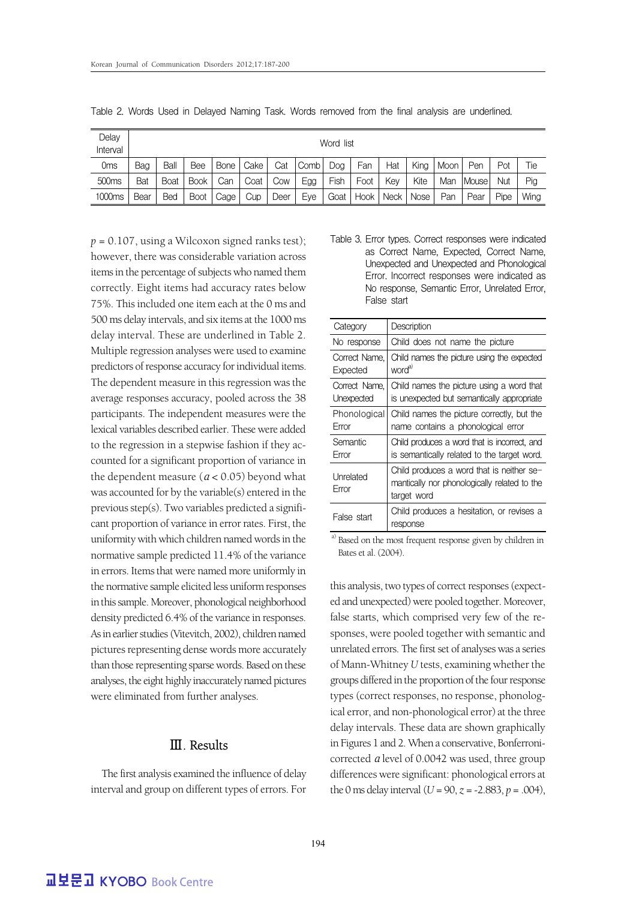| Delay<br>Interval | Word list |            |             |        |      |      |      |      |      |      |      |      |           |      |      |
|-------------------|-----------|------------|-------------|--------|------|------|------|------|------|------|------|------|-----------|------|------|
| 0 <sub>ms</sub>   | Bag       | Ball       | Bee         | Bone I | Cake | Cat  | Comb | Dog  | Fan  | Hat  | King | Moon | Pen       | Pot  | Tie  |
| 500 <sub>ms</sub> | Bat       | Boat       | <b>Book</b> | Can    | Coat | Cow  | Egg  | Fish | Foot | Kev  | Kite | Man  | l Mouse l | Nut  | Pig  |
| 1000ms            | Bear      | <b>Bed</b> | Boot        | Cage   | Cup  | Deer | Eve  | Goat | Hook | Neck | Nose | Pan  | Pear      | Pipe | Wing |

Table 2. Words Used in Delayed Naming Task. Words removed from the final analysis are underlined.

 $p = 0.107$ , using a Wilcoxon signed ranks test); however, there was considerable variation across items in the percentage of subjects who named them correctly. Eight items had accuracy rates below 75%. This included one item each at the 0 ms and 500 ms delay intervals, and six items at the 1000 ms delay interval. These are underlined in Table 2. Multiple regression analyses were used to examine predictors of response accuracy for individual items. The dependent measure in this regression was the average responses accuracy, pooled across the 38 participants. The independent measures were the lexical variables described earlier. These were added to the regression in a stepwise fashion if they accounted for a significant proportion of variance in the dependent measure ( $a < 0.05$ ) beyond what was accounted for by the variable(s) entered in the previous step(s). Two variables predicted a significant proportion of variance in error rates. First, the uniformity with which children named words in the normative sample predicted 11.4% of the variance in errors. Items that were named more uniformly in the normative sample elicited less uniform responses in this sample. Moreover, phonological neighborhood density predicted 6.4% of the variance in responses. As in earlier studies (Vitevitch, 2002), children named pictures representing dense words more accurately than those representing sparse words. Based on these analyses, the eight highly inaccurately named pictures were eliminated from further analyses.

### Ⅲ. Results

The first analysis examined the influence of delay interval and group on different types of errors. For Table 3. Error types. Correct responses were indicated as Correct Name, Expected, Correct Name, Unexpected and Unexpected and Phonological Error. Incorrect responses were indicated as No response, Semantic Error, Unrelated Error, False start

| Category                    | Description                                                                                              |
|-----------------------------|----------------------------------------------------------------------------------------------------------|
| No response                 | Child does not name the picture                                                                          |
| Correct Name.<br>Expected   | Child names the picture using the expected<br>word <sup>a)</sup>                                         |
| Correct Name.<br>Unexpected | Child names the picture using a word that<br>is unexpected but semantically appropriate                  |
| Phonological<br>Error       | Child names the picture correctly, but the<br>name contains a phonological error                         |
| Semantic<br>Error           | Child produces a word that is incorrect, and<br>is semantically related to the target word.              |
| Unrelated<br>Error          | Child produces a word that is neither se-<br>mantically nor phonologically related to the<br>target word |
| False start                 | Child produces a hesitation, or revises a<br>response                                                    |

a) Based on the most frequent response given by children in Bates et al. (2004).

this analysis, two types of correct responses (expected and unexpected) were pooled together. Moreover, false starts, which comprised very few of the responses, were pooled together with semantic and unrelated errors. The first set of analyses was a series of Mann-Whitney *U* tests, examining whether the groups differed in the proportion of the four response types (correct responses, no response, phonological error, and non-phonological error) at the three delay intervals. These data are shown graphically in Figures 1 and 2. When a conservative, Bonferronicorrected α level of 0.0042 was used, three group differences were significant: phonological errors at the 0 ms delay interval  $(U = 90, z = -2.883, p = .004)$ ,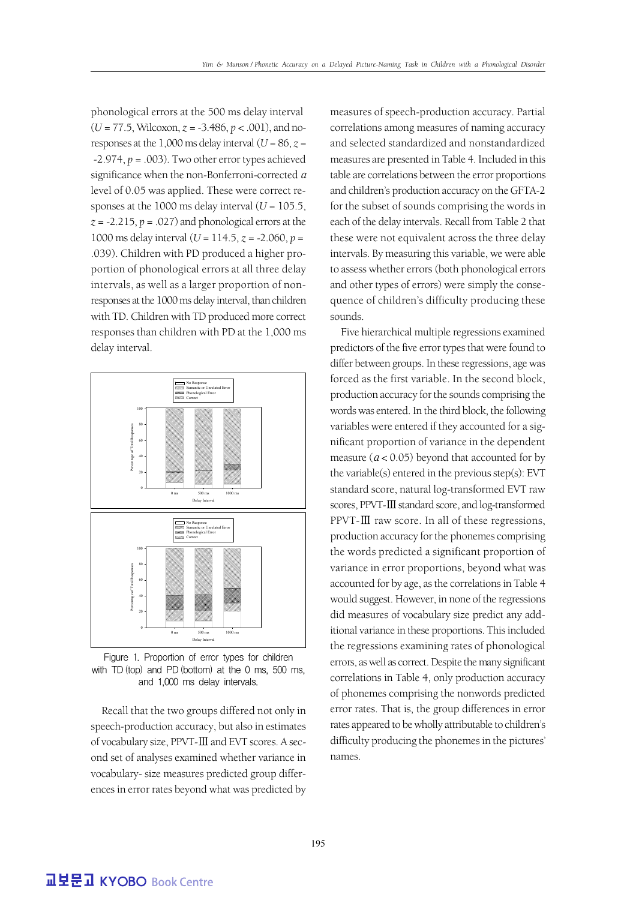phonological errors at the 500 ms delay interval (*U* = 77.5, Wilcoxon, *z* = -3.486, *p* < .001), and noresponses at the 1,000 ms delay interval  $(U = 86, z =$  $-2.974$ ,  $p = .003$ ). Two other error types achieved significance when the non-Bonferroni-corrected a level of 0.05 was applied. These were correct responses at the 1000 ms delay interval  $(U = 105.5$ ,  $z = -2.215$ ,  $p = .027$ ) and phonological errors at the 1000 ms delay interval (*U* = 114.5, *z* = -2.060, *p* = .039). Children with PD produced a higher proportion of phonological errors at all three delay intervals, as well as a larger proportion of nonresponses at the 1000 ms delay interval, than children with TD. Children with TD produced more correct responses than children with PD at the 1,000 ms delay interval.



Figure 1. Proportion of error types for children with TD (top) and PD (bottom) at the 0 ms, 500 ms, and 1,000 ms delay intervals.

Recall that the two groups differed not only in speech-production accuracy, but also in estimates of vocabulary size, PPVT-Ⅲand EVT scores. A second set of analyses examined whether variance in vocabulary- size measures predicted group differences in error rates beyond what was predicted by

measures of speech-production accuracy. Partial correlations among measures of naming accuracy and selected standardized and nonstandardized measures are presented in Table 4. Included in this table are correlations between the error proportions and children's production accuracy on the GFTA-2 for the subset of sounds comprising the words in each of the delay intervals. Recall from Table 2 that these were not equivalent across the three delay intervals. By measuring this variable, we were able to assess whether errors (both phonological errors and other types of errors) were simply the consequence of children's difficulty producing these sounds.

Five hierarchical multiple regressions examined predictors of the five error types that were found to differ between groups. In these regressions, age was forced as the first variable. In the second block, production accuracy for the sounds comprising the words was entered. In the third block, the following variables were entered if they accounted for a significant proportion of variance in the dependent measure ( $a < 0.05$ ) beyond that accounted for by the variable(s) entered in the previous step(s): EVT standard score, natural log-transformed EVT raw scores, PPVT-III standard score, and log-transformed PPVT-Ⅲ raw score. In all of these regressions, production accuracy for the phonemes comprising the words predicted a significant proportion of variance in error proportions, beyond what was accounted for by age, as the correlations in Table 4 would suggest. However, in none of the regressions did measures of vocabulary size predict any additional variance in these proportions. This included the regressions examining rates of phonological errors, as well as correct. Despite the many significant correlations in Table 4, only production accuracy of phonemes comprising the nonwords predicted error rates. That is, the group differences in error rates appeared to be wholly attributable to children's difficulty producing the phonemes in the pictures' names.

**교보문고 KYOBO Book Centre**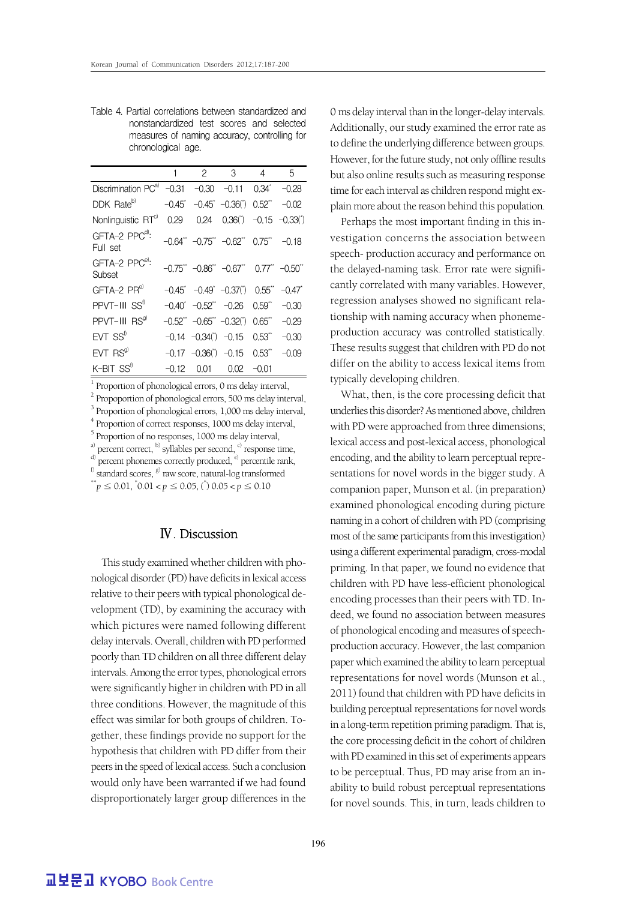Table 4. Partial correlations between standardized and nonstandardized test scores and selected measures of naming accuracy, controlling for chronological age.

|                                                              | 1       | $\overline{2}$ | $\overline{\mathbf{3}}$                                                                      | $\overline{4}$ | 5       |
|--------------------------------------------------------------|---------|----------------|----------------------------------------------------------------------------------------------|----------------|---------|
| Discrimination $PC^{a)}$ -0.31 -0.30 -0.11 0.34 <sup>*</sup> |         |                |                                                                                              |                | $-0.28$ |
| DDK Rate <sup>b)</sup>                                       |         |                | $-0.45$ $-0.45$ $-0.36$ (*) $0.52$ $*$                                                       |                | $-0.02$ |
| Nonlinguistic RTC                                            | 0.29    | 0.24           | $0.36(*)$ -0.15 -0.33( <sup>*</sup> )                                                        |                |         |
| GFTA-2 PPC <sup>d)</sup> :<br>Full set                       |         |                | $-0.64$ <sup>**</sup> $-0.75$ <sup>**</sup> $-0.62$ <sup>**</sup> 0.75 <sup>**</sup> $-0.18$ |                |         |
| GFTA-2 PPC <sup>e)</sup> :<br>Subset                         |         |                | $-0.75$ ** $-0.86$ ** $-0.67$ ** $0.77$ ** $-0.50$ **                                        |                |         |
| $GFTA-2$ $PRe$                                               |         |                | $-0.45$ $-0.49$ $-0.37$ (*) $0.55$ $-0.47$                                                   |                |         |
| PPVT-III SS <sup>t)</sup>                                    |         |                | $-0.40^*$ $-0.52^{**}$ $-0.26$ $0.59^{**}$                                                   |                | $-0.30$ |
| PPVT-III RS <sup>g)</sup>                                    |         |                | $-0.52$ " $-0.65$ " $-0.32$ (') $0.65$ "                                                     |                | $-0.29$ |
| $EVT$ $SS^{\text{f}}$                                        |         |                | $-0.14$ $-0.34$ (*) $-0.15$ $0.53$ <sup>**</sup>                                             |                | $-0.30$ |
| $EVT$ $RSgl$                                                 |         |                | $-0.17$ $-0.36(')$ $-0.15$ $0.53''$                                                          |                | $-0.09$ |
| $K$ -BIT $SS^{\dagger}$                                      | $-0.12$ | 0.01           | 0.02                                                                                         | $-0.01$        |         |

<sup>1</sup> Proportion of phonological errors, 0 ms delay interval,

 $2$  Propoportion of phonological errors, 500 ms delay interval,

 $3$  Proportion of phonological errors, 1,000 ms delay interval,

<sup>4</sup> Proportion of correct responses, 1000 ms delay interval,

<sup>5</sup> Proportion of no responses, 1000 ms delay interval,  $\alpha^{(a)}$  percent correct,  $\alpha^{(b)}$  syllables per second,  $\alpha^{(c)}$  response time,

 $\sigma^{d)}$  percent phonemes correctly produced,  $\epsilon^{e}$  percentile rank,

f) standard scores, <sup>g)</sup> raw score, natural-log transformed

 $0.01 < p \le 0.05$ , ( $\degree$ )  $0.05 < p \le 0.10$ 

#### Ⅳ. Discussion

This study examined whether children with phonological disorder (PD) have deficits in lexical access relative to their peers with typical phonological development (TD), by examining the accuracy with which pictures were named following different delay intervals. Overall, children with PD performed poorly than TD children on all three different delay intervals. Among the error types, phonological errors were significantly higher in children with PD in all three conditions. However, the magnitude of this effect was similar for both groups of children. Together, these findings provide no support for the hypothesis that children with PD differ from their peers in the speed of lexical access. Such a conclusion would only have been warranted if we had found disproportionately larger group differences in the

0 ms delay interval than in the longer-delay intervals. Additionally, our study examined the error rate as to define the underlying difference between groups. However, for the future study, not only offline results but also online results such as measuring response time for each interval as children respond might explain more about the reason behind this population.

Perhaps the most important finding in this investigation concerns the association between speech- production accuracy and performance on the delayed-naming task. Error rate were significantly correlated with many variables. However, regression analyses showed no significant relationship with naming accuracy when phonemeproduction accuracy was controlled statistically. These results suggest that children with PD do not differ on the ability to access lexical items from typically developing children.

What, then, is the core processing deficit that underlies this disorder? As mentioned above, children with PD were approached from three dimensions; lexical access and post-lexical access, phonological encoding, and the ability to learn perceptual representations for novel words in the bigger study. A companion paper, Munson et al. (in preparation) examined phonological encoding during picture naming in a cohort of children with PD (comprising most of the same participants from this investigation) using a different experimental paradigm, cross-modal priming. In that paper, we found no evidence that children with PD have less-efficient phonological encoding processes than their peers with TD. Indeed, we found no association between measures of phonological encoding and measures of speechproduction accuracy. However, the last companion paper which examined the ability to learn perceptual representations for novel words (Munson et al., 2011) found that children with PD have deficits in building perceptual representations for novel words in a long-term repetition priming paradigm. That is, the core processing deficit in the cohort of children with PD examined in this set of experiments appears to be perceptual. Thus, PD may arise from an inability to build robust perceptual representations for novel sounds. This, in turn, leads children to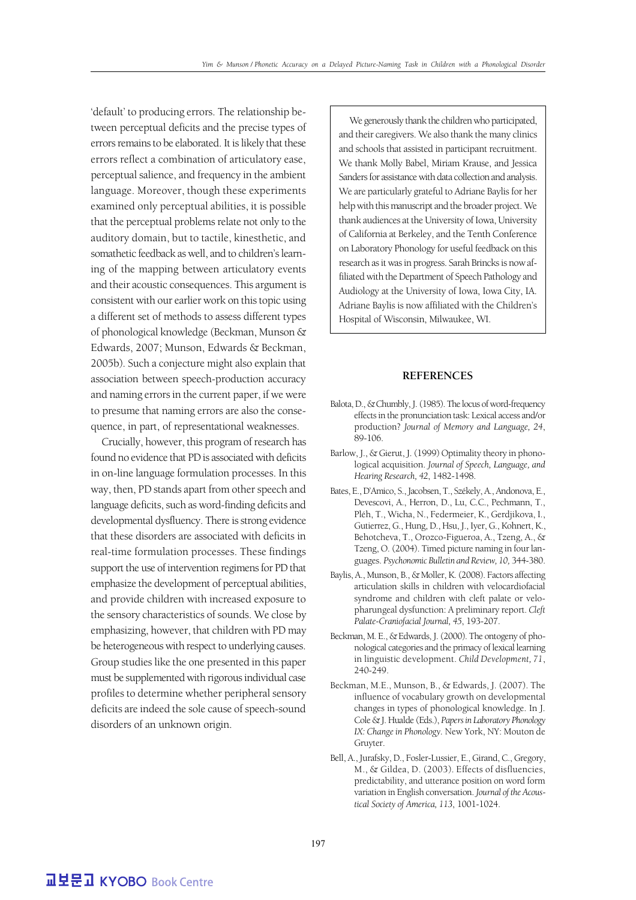'default' to producing errors. The relationship between perceptual deficits and the precise types of errors remains to be elaborated. It is likely that these errors reflect a combination of articulatory ease, perceptual salience, and frequency in the ambient language. Moreover, though these experiments examined only perceptual abilities, it is possible that the perceptual problems relate not only to the auditory domain, but to tactile, kinesthetic, and somathetic feedback as well, and to children's learning of the mapping between articulatory events and their acoustic consequences. This argument is consistent with our earlier work on this topic using a different set of methods to assess different types of phonological knowledge (Beckman, Munson & Edwards, 2007; Munson, Edwards & Beckman, 2005b). Such a conjecture might also explain that association between speech-production accuracy and naming errors in the current paper, if we were to presume that naming errors are also the consequence, in part, of representational weaknesses.

Crucially, however, this program of research has found no evidence that PD is associated with deficits in on-line language formulation processes. In this way, then, PD stands apart from other speech and language deficits, such as word-finding deficits and developmental dysfluency. There is strong evidence that these disorders are associated with deficits in real-time formulation processes. These findings support the use of intervention regimens for PD that emphasize the development of perceptual abilities, and provide children with increased exposure to the sensory characteristics of sounds. We close by emphasizing, however, that children with PD may be heterogeneous with respect to underlying causes. Group studies like the one presented in this paper must be supplemented with rigorous individual case profiles to determine whether peripheral sensory deficits are indeed the sole cause of speech-sound disorders of an unknown origin.

We generously thank the children who participated, and their caregivers. We also thank the many clinics and schools that assisted in participant recruitment. We thank Molly Babel, Miriam Krause, and Jessica Sanders for assistance with data collection and analysis. We are particularly grateful to Adriane Baylis for her help with this manuscript and the broader project. We thank audiences at the University of Iowa, University of California at Berkeley, and the Tenth Conference on Laboratory Phonology for useful feedback on this research as it was in progress. Sarah Brincks is now affiliated with the Department of Speech Pathology and Audiology at the University of Iowa, Iowa City, IA. Adriane Baylis is now affiliated with the Children's Hospital of Wisconsin, Milwaukee, WI.

#### **REFERENCES**

- Balota, D., & Chumbly, J. (1985). The locus of word-frequency effects in the pronunciation task: Lexical access and/or production? *Journal of Memory and Language, 24*, 89-106.
- Barlow, J., & Gierut, J. (1999) Optimality theory in phonological acquisition. *Journal of Speech, Language, and Hearing Research, 42*, 1482-1498.
- Bates, E., D'Amico, S., Jacobsen, T., Székely, A., Andonova, E., Devescovi, A., Herron, D., Lu, C.C., Pechmann, T., Pléh, T., Wicha, N., Federmeier, K., Gerdjikova, I., Gutierrez, G., Hung, D., Hsu, J., Iyer, G., Kohnert, K., Behotcheva, T., Orozco-Figueroa, A., Tzeng, A., & Tzeng, O. (2004). Timed picture naming in four languages. *Psychonomic Bulletin and Review, 10,* 344-380.
- Baylis, A., Munson, B., & Moller, K. (2008). Factors affecting articulation skills in children with velocardiofacial syndrome and children with cleft palate or velopharungeal dysfunction: A preliminary report. *Cleft Palate-Craniofacial Journal, 45*, 193-207.
- Beckman, M. E., & Edwards, J. (2000). The ontogeny of phonological categories and the primacy of lexical learning in linguistic development. *Child Development, 71*, 240-249.
- Beckman, M.E., Munson, B., & Edwards, J. (2007). The influence of vocabulary growth on developmental changes in types of phonological knowledge. In J. Cole & J. Hualde (Eds.), *Papers in Laboratory Phonology IX: Change in Phonology.* New York, NY: Mouton de Gruyter.
- Bell, A., Jurafsky, D., Fosler-Lussier, E., Girand, C., Gregory, M., & Gildea, D. (2003). Effects of disfluencies, predictability, and utterance position on word form variation in English conversation. *Journal of the Acoustical Society of America, 113*, 1001-1024.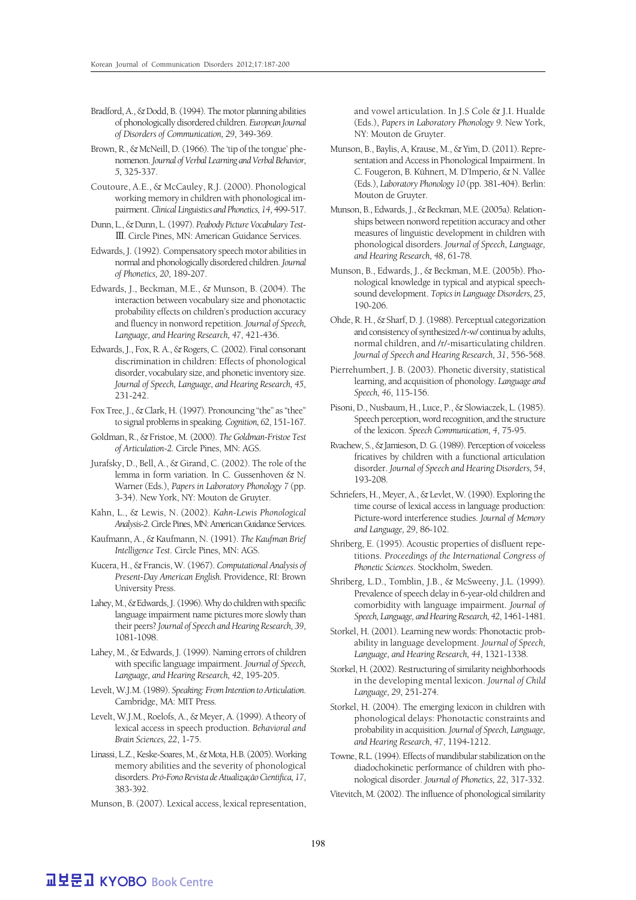- Bradford, A., & Dodd, B. (1994). The motor planning abilities of phonologically disordered children. *European Journal of Disorders of Communication, 29*, 349-369.
- Brown, R., & McNeill, D. (1966). The 'tip of the tongue' phenomenon. *Journal of Verbal Learning and Verbal Behavior, 5*, 325-337.
- Coutoure, A.E., & McCauley, R.J. (2000). Phonological working memory in children with phonological impairment. *Clinical Linguistics and Phonetics, 14*, 499-517.
- Dunn, L., & Dunn, L. (1997). *Peabody Picture Vocabulary Test-* Ⅲ. Circle Pines, MN: American Guidance Services.
- Edwards, J. (1992). Compensatory speech motor abilities in normal and phonologically disordered children. *Journal of Phonetics, 20*, 189-207.
- Edwards, J., Beckman, M.E., & Munson, B. (2004). The interaction between vocabulary size and phonotactic probability effects on children's production accuracy and fluency in nonword repetition. *Journal of Speech, Language, and Hearing Research, 47*, 421-436.
- Edwards, J., Fox, R. A., & Rogers, C. (2002). Final consonant discrimination in children: Effects of phonological disorder, vocabulary size, and phonetic inventory size. *Journal of Speech, Language, and Hearing Research, 45*, 231-242.
- Fox Tree, J., & Clark, H. (1997). Pronouncing "the" as "thee" to signal problems in speaking. *Cognition, 62*, 151-167.
- Goldman, R., & Fristoe, M. (2000). *The Goldman-Fristoe Test of Articulation-2.* Circle Pines, MN: AGS.
- Jurafsky, D., Bell, A., & Girand, C. (2002). The role of the lemma in form variation. In C. Gussenhoven & N. Warner (Eds.), *Papers in Laboratory Phonology 7* (pp. 3-34). New York, NY: Mouton de Gruyter.
- Kahn, L., & Lewis, N. (2002). *Kahn-Lewis Phonological Analysis-2*. Circle Pines, MN: American Guidance Services.
- Kaufmann, A., & Kaufmann, N. (1991). *The Kaufman Brief Intelligence Test*. Circle Pines, MN: AGS.
- Kucera, H., & Francis, W. (1967). *Computational Analysis of Present-Day American English.* Providence, RI: Brown University Press.
- Lahey, M., & Edwards, J. (1996). Why do children with specific language impairment name pictures more slowly than their peers? *Journal of Speech and Hearing Research, 39*, 1081-1098.
- Lahey, M., & Edwards, J. (1999). Naming errors of children with specific language impairment. *Journal of Speech, Language, and Hearing Research, 42*, 195-205.
- Levelt, W.J.M. (1989). *Speaking: From Intention to Articulation*. Cambridge, MA: MIT Press.
- Levelt, W.J.M., Roelofs, A., & Meyer, A. (1999). A theory of lexical access in speech production. *Behavioral and Brain Sciences, 22*, 1-75.
- Linassi, L.Z., Keske-Soares, M., & Mota, H.B. (2005). Working memory abilities and the severity of phonological disorders. *Pró-Fono Revista de Atualização Cientifica, 17*, 383-392.
- Munson, B. (2007). Lexical access, lexical representation,

and vowel articulation. In J.S Cole & J.I. Hualde (Eds.), *Papers in Laboratory Phonology 9.* New York, NY: Mouton de Gruyter.

- Munson, B., Baylis, A, Krause, M., & Yim, D. (2011). Representation and Access in Phonological Impairment. In C. Fougeron, B. Kühnert, M. D'Imperio, & N. Vallée (Eds.), *Laboratory Phonology 10* (pp. 381-404). Berlin: Mouton de Gruyter.
- Munson, B., Edwards, J., & Beckman, M.E. (2005a). Relationships between nonword repetition accuracy and other measures of linguistic development in children with phonological disorders. *Journal of Speech, Language, and Hearing Research, 48*, 61-78.
- Munson, B., Edwards, J., & Beckman, M.E. (2005b). Phonological knowledge in typical and atypical speechsound development. *Topics in Language Disorders, 25*, 190-206.
- Ohde, R. H., & Sharf, D. J. (1988). Perceptual categorization and consistency of synthesized /r-w/ continua by adults, normal children, and /r/-misarticulating children. *Journal of Speech and Hearing Research, 31*, 556-568.
- Pierrehumbert, J. B. (2003). Phonetic diversity, statistical learning, and acquisition of phonology. *Language and Speech, 46*, 115-156.
- Pisoni, D., Nusbaum, H., Luce, P., & Slowiaczek, L. (1985). Speech perception, word recognition, and the structure of the lexicon. *Speech Communication, 4*, 75-95.
- Rvachew, S., & Jamieson, D. G. (1989). Perception of voiceless fricatives by children with a functional articulation disorder. *Journal of Speech and Hearing Disorders, 54*, 193-208.
- Schriefers, H., Meyer, A., & Levlet, W. (1990). Exploring the time course of lexical access in language production: Picture-word interference studies. *Journal of Memory and Language, 29*, 86-102.
- Shriberg, E. (1995). Acoustic properties of disfluent repetitions. *Proceedings of the International Congress of Phonetic Sciences*. Stockholm, Sweden.
- Shriberg, L.D., Tomblin, J.B., & McSweeny, J.L. (1999). Prevalence of speech delay in 6-year-old children and comorbidity with language impairment. *Journal of Speech, Language, and Hearing Research, 42*, 1461-1481.
- Storkel, H. (2001). Learning new words: Phonotactic probability in language development. *Journal of Speech, Language, and Hearing Research, 44*, 1321-1338.
- Storkel, H. (2002). Restructuring of similarity neighborhoods in the developing mental lexicon. *Journal of Child Language, 29*, 251-274.
- Storkel, H. (2004). The emerging lexicon in children with phonological delays: Phonotactic constraints and probability in acquisition. *Journal of Speech, Language, and Hearing Research, 47*, 1194-1212.
- Towne, R.L. (1994). Effects of mandibular stabilization on the diadochokinetic performance of children with phonological disorder. *Journal of Phonetics, 22*, 317-332.
- Vitevitch, M. (2002). The influence of phonological similarity

## **교보문고 KYOBO Book Centre**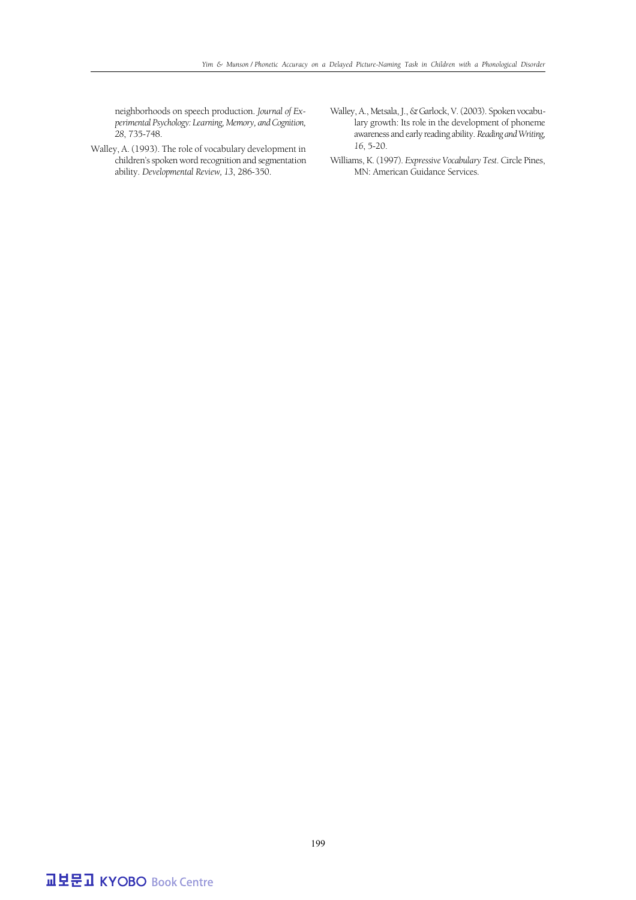neighborhoods on speech production. *Journal of Experimental Psychology: Learning, Memory, and Cognition, 28*, 735-748.

- Walley, A. (1993). The role of vocabulary development in children's spoken word recognition and segmentation ability. *Developmental Review, 13*, 286-350.
- Walley, A., Metsala, J., & Garlock, V. (2003). Spoken vocabulary growth: Its role in the development of phoneme awareness and early reading ability. *Reading and Writing, 16*, 5-20.
- Williams, K. (1997). *Expressive Vocabulary Test*. Circle Pines, MN: American Guidance Services.